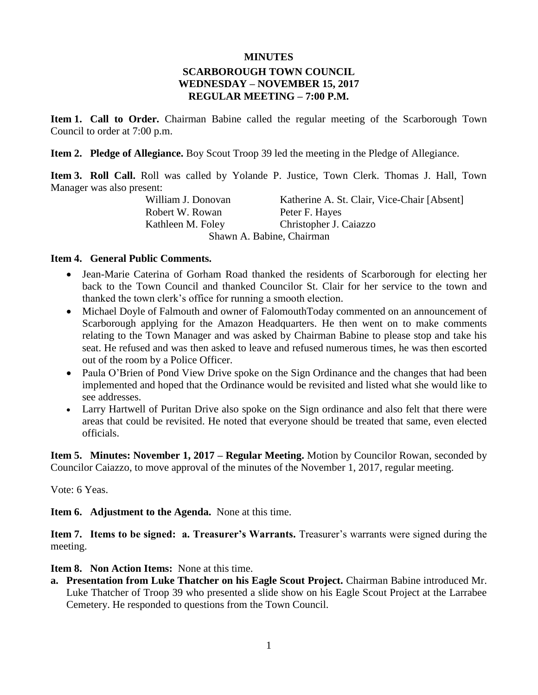#### **MINUTES**

### **SCARBOROUGH TOWN COUNCIL WEDNESDAY – NOVEMBER 15, 2017 REGULAR MEETING – 7:00 P.M.**

**Item 1. Call to Order.** Chairman Babine called the regular meeting of the Scarborough Town Council to order at 7:00 p.m.

**Item 2. Pledge of Allegiance.** Boy Scout Troop 39 led the meeting in the Pledge of Allegiance.

**Item 3. Roll Call.** Roll was called by Yolande P. Justice, Town Clerk. Thomas J. Hall, Town Manager was also present:

William J. Donovan Katherine A. St. Clair, Vice-Chair [Absent] Robert W. Rowan Peter F. Hayes Kathleen M. Foley Christopher J. Caiazzo Shawn A. Babine, Chairman

#### **Item 4. General Public Comments.**

- Jean-Marie Caterina of Gorham Road thanked the residents of Scarborough for electing her back to the Town Council and thanked Councilor St. Clair for her service to the town and thanked the town clerk's office for running a smooth election.
- Michael Doyle of Falmouth and owner of FalomouthToday commented on an announcement of Scarborough applying for the Amazon Headquarters. He then went on to make comments relating to the Town Manager and was asked by Chairman Babine to please stop and take his seat. He refused and was then asked to leave and refused numerous times, he was then escorted out of the room by a Police Officer.
- Paula O'Brien of Pond View Drive spoke on the Sign Ordinance and the changes that had been implemented and hoped that the Ordinance would be revisited and listed what she would like to see addresses.
- Larry Hartwell of Puritan Drive also spoke on the Sign ordinance and also felt that there were areas that could be revisited. He noted that everyone should be treated that same, even elected officials.

**Item 5. Minutes: November 1, 2017 – Regular Meeting.** Motion by Councilor Rowan, seconded by Councilor Caiazzo, to move approval of the minutes of the November 1, 2017, regular meeting.

Vote: 6 Yeas.

**Item 6. Adjustment to the Agenda.** None at this time.

**Item 7. Items to be signed: a. Treasurer's Warrants.** Treasurer's warrants were signed during the meeting.

**Item 8. Non Action Items:** None at this time.

**a. Presentation from Luke Thatcher on his Eagle Scout Project.** Chairman Babine introduced Mr. Luke Thatcher of Troop 39 who presented a slide show on his Eagle Scout Project at the Larrabee Cemetery. He responded to questions from the Town Council.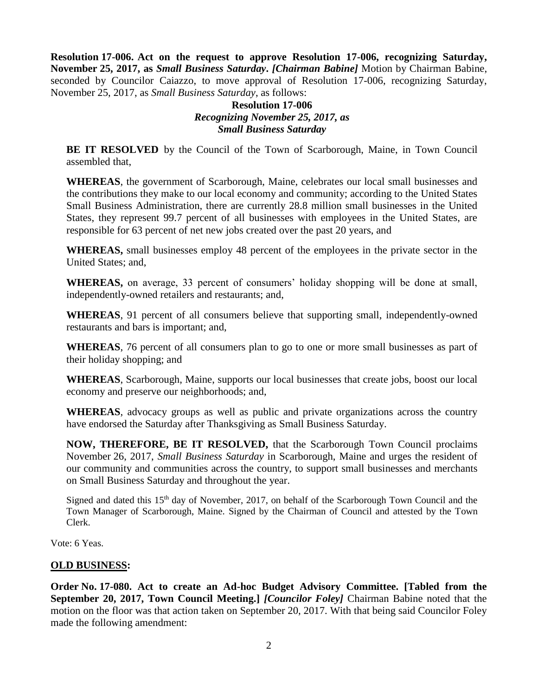**Resolution 17-006. Act on the request to approve Resolution 17-006, recognizing Saturday, November 25, 2017, as** *Small Business Saturday***.** *[Chairman Babine]* Motion by Chairman Babine, seconded by Councilor Caiazzo, to move approval of Resolution 17-006, recognizing Saturday, November 25, 2017, as *Small Business Saturday*, as follows:

## **Resolution 17-006** *Recognizing November 25, 2017, as Small Business Saturday*

**BE IT RESOLVED** by the Council of the Town of Scarborough, Maine, in Town Council assembled that,

**WHEREAS**, the government of Scarborough, Maine, celebrates our local small businesses and the contributions they make to our local economy and community; according to the United States Small Business Administration, there are currently 28.8 million small businesses in the United States, they represent 99.7 percent of all businesses with employees in the United States, are responsible for 63 percent of net new jobs created over the past 20 years, and

**WHEREAS,** small businesses employ 48 percent of the employees in the private sector in the United States; and,

**WHEREAS,** on average, 33 percent of consumers' holiday shopping will be done at small, independently-owned retailers and restaurants; and,

**WHEREAS**, 91 percent of all consumers believe that supporting small, independently-owned restaurants and bars is important; and,

**WHEREAS**, 76 percent of all consumers plan to go to one or more small businesses as part of their holiday shopping; and

**WHEREAS**, Scarborough, Maine, supports our local businesses that create jobs, boost our local economy and preserve our neighborhoods; and,

**WHEREAS**, advocacy groups as well as public and private organizations across the country have endorsed the Saturday after Thanksgiving as Small Business Saturday.

**NOW, THEREFORE, BE IT RESOLVED,** that the Scarborough Town Council proclaims November 26, 2017, *Small Business Saturday* in Scarborough, Maine and urges the resident of our community and communities across the country, to support small businesses and merchants on Small Business Saturday and throughout the year.

Signed and dated this 15th day of November, 2017, on behalf of the Scarborough Town Council and the Town Manager of Scarborough, Maine. Signed by the Chairman of Council and attested by the Town Clerk.

Vote: 6 Yeas.

## **OLD BUSINESS:**

**Order No. 17-080. Act to create an Ad-hoc Budget Advisory Committee. [Tabled from the September 20, 2017, Town Council Meeting.]** *[Councilor Foley]* Chairman Babine noted that the motion on the floor was that action taken on September 20, 2017. With that being said Councilor Foley made the following amendment: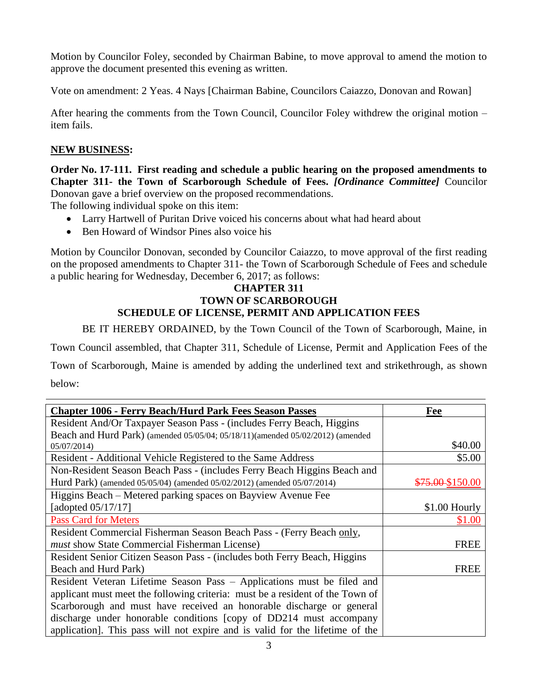Motion by Councilor Foley, seconded by Chairman Babine, to move approval to amend the motion to approve the document presented this evening as written.

Vote on amendment: 2 Yeas. 4 Nays [Chairman Babine, Councilors Caiazzo, Donovan and Rowan]

After hearing the comments from the Town Council, Councilor Foley withdrew the original motion – item fails.

# **NEW BUSINESS:**

**Order No. 17-111. First reading and schedule a public hearing on the proposed amendments to Chapter 311- the Town of Scarborough Schedule of Fees.** *[Ordinance Committee]* Councilor Donovan gave a brief overview on the proposed recommendations.

The following individual spoke on this item:

- Larry Hartwell of Puritan Drive voiced his concerns about what had heard about
- Ben Howard of Windsor Pines also voice his

Motion by Councilor Donovan, seconded by Councilor Caiazzo, to move approval of the first reading on the proposed amendments to Chapter 311- the Town of Scarborough Schedule of Fees and schedule a public hearing for Wednesday, December 6, 2017; as follows:

#### **CHAPTER 311 TOWN OF SCARBOROUGH SCHEDULE OF LICENSE, PERMIT AND APPLICATION FEES**

BE IT HEREBY ORDAINED, by the Town Council of the Town of Scarborough, Maine, in

Town Council assembled, that Chapter 311, Schedule of License, Permit and Application Fees of the

Town of Scarborough, Maine is amended by adding the underlined text and strikethrough, as shown below:

| <b>Chapter 1006 - Ferry Beach/Hurd Park Fees Season Passes</b>                 | Fee              |
|--------------------------------------------------------------------------------|------------------|
| Resident And/Or Taxpayer Season Pass - (includes Ferry Beach, Higgins          |                  |
| Beach and Hurd Park) (amended 05/05/04; 05/18/11)(amended 05/02/2012) (amended |                  |
| 05/07/2014)                                                                    | \$40.00          |
| Resident - Additional Vehicle Registered to the Same Address                   | \$5.00           |
| Non-Resident Season Beach Pass - (includes Ferry Beach Higgins Beach and       |                  |
| Hurd Park) (amended 05/05/04) (amended 05/02/2012) (amended 05/07/2014)        | \$75.00 \$150.00 |
| Higgins Beach – Metered parking spaces on Bayview Avenue Fee                   |                  |
| [adopted 05/17/17]                                                             | $$1.00$ Hourly   |
| <b>Pass Card for Meters</b>                                                    | \$1.00           |
| Resident Commercial Fisherman Season Beach Pass - (Ferry Beach only,           |                  |
| must show State Commercial Fisherman License)                                  | <b>FREE</b>      |
| Resident Senior Citizen Season Pass - (includes both Ferry Beach, Higgins      |                  |
| Beach and Hurd Park)                                                           | <b>FREE</b>      |
| Resident Veteran Lifetime Season Pass - Applications must be filed and         |                  |
| applicant must meet the following criteria: must be a resident of the Town of  |                  |
| Scarborough and must have received an honorable discharge or general           |                  |
| discharge under honorable conditions [copy of DD214 must accompany             |                  |
| application]. This pass will not expire and is valid for the lifetime of the   |                  |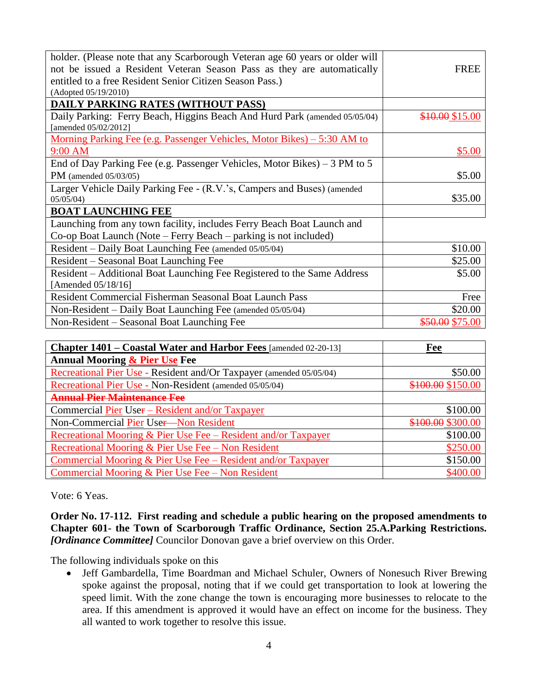| holder. (Please note that any Scarborough Veteran age 60 years or older will   |                 |
|--------------------------------------------------------------------------------|-----------------|
| not be issued a Resident Veteran Season Pass as they are automatically         | <b>FREE</b>     |
| entitled to a free Resident Senior Citizen Season Pass.)                       |                 |
| (Adopted 05/19/2010)                                                           |                 |
| <b>DAILY PARKING RATES (WITHOUT PASS)</b>                                      |                 |
| Daily Parking: Ferry Beach, Higgins Beach And Hurd Park (amended 05/05/04)     | \$10.00 \$15.00 |
| [amended 05/02/2012]                                                           |                 |
| <u>Morning Parking Fee (e.g. Passenger Vehicles, Motor Bikes) – 5:30 AM to</u> |                 |
| 9:00 AM                                                                        | \$5.00          |
| End of Day Parking Fee (e.g. Passenger Vehicles, Motor Bikes) - 3 PM to 5      |                 |
| PM (amended $05/03/05$ )                                                       | \$5.00          |
| Larger Vehicle Daily Parking Fee - (R.V.'s, Campers and Buses) (amended        |                 |
| 05/05/04                                                                       | \$35.00         |
| <b>BOAT LAUNCHING FEE</b>                                                      |                 |
| Launching from any town facility, includes Ferry Beach Boat Launch and         |                 |
| Co-op Boat Launch (Note – Ferry Beach – parking is not included)               |                 |
| Resident – Daily Boat Launching Fee (amended 05/05/04)                         | \$10.00         |
| Resident – Seasonal Boat Launching Fee                                         | \$25.00         |
| Resident – Additional Boat Launching Fee Registered to the Same Address        | \$5.00          |
| [Amended 05/18/16]                                                             |                 |
| Resident Commercial Fisherman Seasonal Boat Launch Pass                        | Free            |
| Non-Resident – Daily Boat Launching Fee (amended 05/05/04)                     | \$20.00         |
| Non-Resident – Seasonal Boat Launching Fee                                     | \$50.00 \$75.00 |

| Chapter 1401 – Coastal Water and Harbor Fees [amended 02-20-13]     | Fee               |
|---------------------------------------------------------------------|-------------------|
| <b>Annual Mooring &amp; Pier Use Fee</b>                            |                   |
| Recreational Pier Use - Resident and/Or Taxpayer (amended 05/05/04) | \$50.00           |
| Recreational Pier Use - Non-Resident (amended 05/05/04)             | \$100.00 \$150.00 |
| <b>Annual Pier Maintenance Fee</b>                                  |                   |
| Commercial Pier User – Resident and/or Taxpayer                     | \$100.00          |
| Non-Commercial Pier User-Non Resident                               | \$100.00 \$300.00 |
| Recreational Mooring & Pier Use Fee – Resident and/or Taxpayer      | \$100.00          |
| Recreational Mooring & Pier Use Fee – Non Resident                  | \$250.00          |
| Commercial Mooring & Pier Use Fee $-$ Resident and/or Taxpayer      | \$150.00          |
| Commercial Mooring & Pier Use Fee $-$ Non Resident                  | \$400.00          |

Vote: 6 Yeas.

**Order No. 17-112. First reading and schedule a public hearing on the proposed amendments to Chapter 601- the Town of Scarborough Traffic Ordinance, Section 25.A.Parking Restrictions.** *[Ordinance Committee]* Councilor Donovan gave a brief overview on this Order.

The following individuals spoke on this

• Jeff Gambardella, Time Boardman and Michael Schuler, Owners of Nonesuch River Brewing spoke against the proposal, noting that if we could get transportation to look at lowering the speed limit. With the zone change the town is encouraging more businesses to relocate to the area. If this amendment is approved it would have an effect on income for the business. They all wanted to work together to resolve this issue.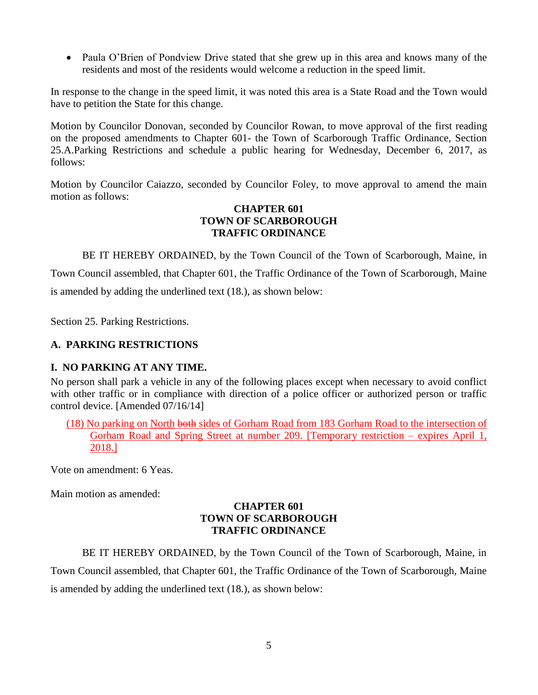• Paula O'Brien of Pondview Drive stated that she grew up in this area and knows many of the residents and most of the residents would welcome a reduction in the speed limit.

In response to the change in the speed limit, it was noted this area is a State Road and the Town would have to petition the State for this change.

Motion by Councilor Donovan, seconded by Councilor Rowan, to move approval of the first reading on the proposed amendments to Chapter 601- the Town of Scarborough Traffic Ordinance, Section 25.A.Parking Restrictions and schedule a public hearing for Wednesday, December 6, 2017, as follows:

Motion by Councilor Caiazzo, seconded by Councilor Foley, to move approval to amend the main motion as follows:

#### **CHAPTER 601 TOWN OF SCARBOROUGH TRAFFIC ORDINANCE**

BE IT HEREBY ORDAINED, by the Town Council of the Town of Scarborough, Maine, in Town Council assembled, that Chapter 601, the Traffic Ordinance of the Town of Scarborough, Maine is amended by adding the underlined text (18.), as shown below:

Section 25. Parking Restrictions.

## **A. PARKING RESTRICTIONS**

## **I. NO PARKING AT ANY TIME.**

No person shall park a vehicle in any of the following places except when necessary to avoid conflict with other traffic or in compliance with direction of a police officer or authorized person or traffic control device. [Amended 07/16/14]

(18) No parking on North both sides of Gorham Road from 183 Gorham Road to the intersection of Gorham Road and Spring Street at number 209. [Temporary restriction – expires April 1, 2018.]

Vote on amendment: 6 Yeas.

Main motion as amended:

#### **CHAPTER 601 TOWN OF SCARBOROUGH TRAFFIC ORDINANCE**

BE IT HEREBY ORDAINED, by the Town Council of the Town of Scarborough, Maine, in Town Council assembled, that Chapter 601, the Traffic Ordinance of the Town of Scarborough, Maine is amended by adding the underlined text (18.), as shown below: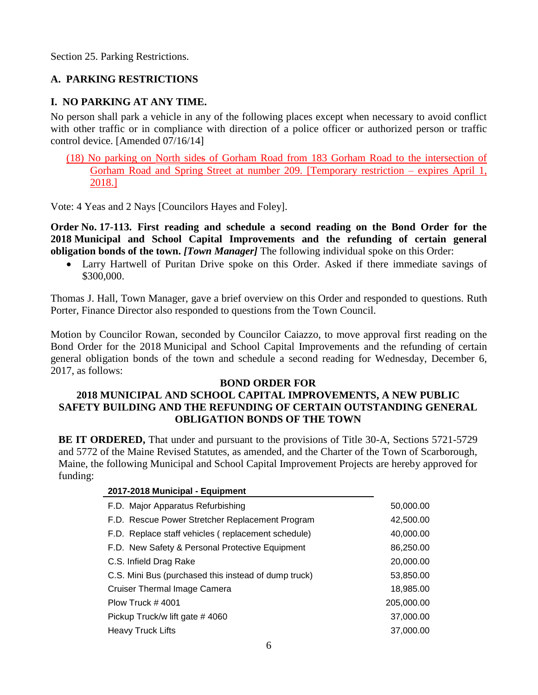Section 25. Parking Restrictions.

## **A. PARKING RESTRICTIONS**

#### **I. NO PARKING AT ANY TIME.**

No person shall park a vehicle in any of the following places except when necessary to avoid conflict with other traffic or in compliance with direction of a police officer or authorized person or traffic control device. [Amended 07/16/14]

(18) No parking on North sides of Gorham Road from 183 Gorham Road to the intersection of Gorham Road and Spring Street at number 209. [Temporary restriction – expires April 1, 2018.]

Vote: 4 Yeas and 2 Nays [Councilors Hayes and Foley].

**Order No. 17-113. First reading and schedule a second reading on the Bond Order for the 2018 Municipal and School Capital Improvements and the refunding of certain general obligation bonds of the town.** *[Town Manager]* The following individual spoke on this Order:

 Larry Hartwell of Puritan Drive spoke on this Order. Asked if there immediate savings of \$300,000.

Thomas J. Hall, Town Manager, gave a brief overview on this Order and responded to questions. Ruth Porter, Finance Director also responded to questions from the Town Council.

Motion by Councilor Rowan, seconded by Councilor Caiazzo, to move approval first reading on the Bond Order for the 2018 Municipal and School Capital Improvements and the refunding of certain general obligation bonds of the town and schedule a second reading for Wednesday, December 6, 2017, as follows:

#### **BOND ORDER FOR**

## **2018 MUNICIPAL AND SCHOOL CAPITAL IMPROVEMENTS, A NEW PUBLIC SAFETY BUILDING AND THE REFUNDING OF CERTAIN OUTSTANDING GENERAL OBLIGATION BONDS OF THE TOWN**

**BE IT ORDERED,** That under and pursuant to the provisions of Title 30-A, Sections 5721-5729 and 5772 of the Maine Revised Statutes, as amended, and the Charter of the Town of Scarborough, Maine, the following Municipal and School Capital Improvement Projects are hereby approved for funding:

| 2017-2018 Municipal - Equipment                      |            |
|------------------------------------------------------|------------|
| F.D. Major Apparatus Refurbishing                    | 50,000.00  |
| F.D. Rescue Power Stretcher Replacement Program      | 42,500.00  |
| F.D. Replace staff vehicles (replacement schedule)   | 40,000.00  |
| F.D. New Safety & Personal Protective Equipment      | 86,250.00  |
| C.S. Infield Drag Rake                               | 20,000.00  |
| C.S. Mini Bus (purchased this instead of dump truck) | 53,850.00  |
| Cruiser Thermal Image Camera                         | 18,985.00  |
| Plow Truck $\#$ 4001                                 | 205,000.00 |
| Pickup Truck/w lift gate #4060                       | 37,000,00  |
| Heavy Truck Lifts                                    | 37,000,00  |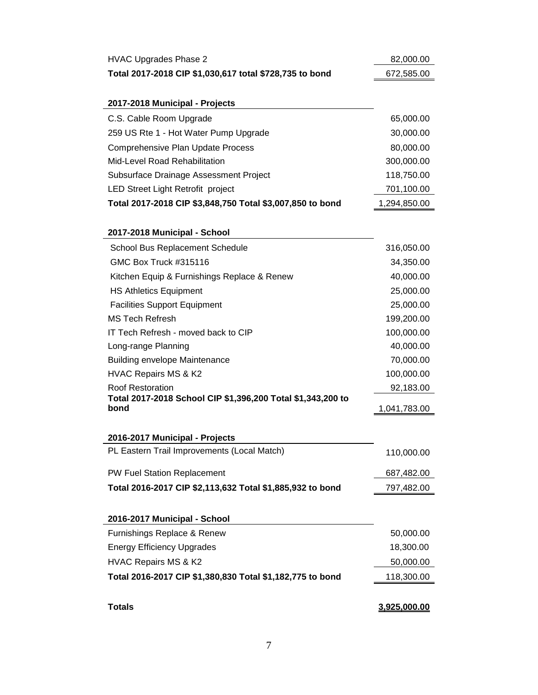| <b>HVAC Upgrades Phase 2</b>                                        | 82,000.00    |
|---------------------------------------------------------------------|--------------|
| Total 2017-2018 CIP \$1,030,617 total \$728,735 to bond             | 672,585.00   |
|                                                                     |              |
| 2017-2018 Municipal - Projects                                      |              |
| C.S. Cable Room Upgrade                                             | 65,000.00    |
| 259 US Rte 1 - Hot Water Pump Upgrade                               | 30,000.00    |
| Comprehensive Plan Update Process                                   | 80,000.00    |
| <b>Mid-Level Road Rehabilitation</b>                                | 300,000.00   |
| Subsurface Drainage Assessment Project                              | 118,750.00   |
| LED Street Light Retrofit project                                   | 701,100.00   |
| Total 2017-2018 CIP \$3,848,750 Total \$3,007,850 to bond           | 1,294,850.00 |
|                                                                     |              |
| 2017-2018 Municipal - School                                        |              |
| School Bus Replacement Schedule                                     | 316,050.00   |
| GMC Box Truck #315116                                               | 34,350.00    |
| Kitchen Equip & Furnishings Replace & Renew                         | 40,000.00    |
| <b>HS Athletics Equipment</b>                                       | 25,000.00    |
| <b>Facilities Support Equipment</b>                                 | 25,000.00    |
| <b>MS Tech Refresh</b>                                              | 199,200.00   |
| IT Tech Refresh - moved back to CIP                                 | 100,000.00   |
| Long-range Planning                                                 | 40,000.00    |
| <b>Building envelope Maintenance</b>                                | 70,000.00    |
| HVAC Repairs MS & K2                                                | 100,000.00   |
| Roof Restoration                                                    | 92,183.00    |
| Total 2017-2018 School CIP \$1,396,200 Total \$1,343,200 to<br>bond | 1,041,783.00 |
|                                                                     |              |
| 2016-2017 Municipal - Projects                                      |              |
| PL Eastern Trail Improvements (Local Match)                         | 110,000.00   |
|                                                                     |              |
| PW Fuel Station Replacement                                         | 687,482.00   |
| Total 2016-2017 CIP \$2,113,632 Total \$1,885,932 to bond           | 797,482.00   |
|                                                                     |              |
| 2016-2017 Municipal - School                                        |              |
| Furnishings Replace & Renew                                         | 50,000.00    |
| <b>Energy Efficiency Upgrades</b>                                   | 18,300.00    |
| HVAC Repairs MS & K2                                                | 50,000.00    |
| Total 2016-2017 CIP \$1,380,830 Total \$1,182,775 to bond           | 118,300.00   |
|                                                                     |              |
| <b>Totals</b>                                                       | 3,925,000.00 |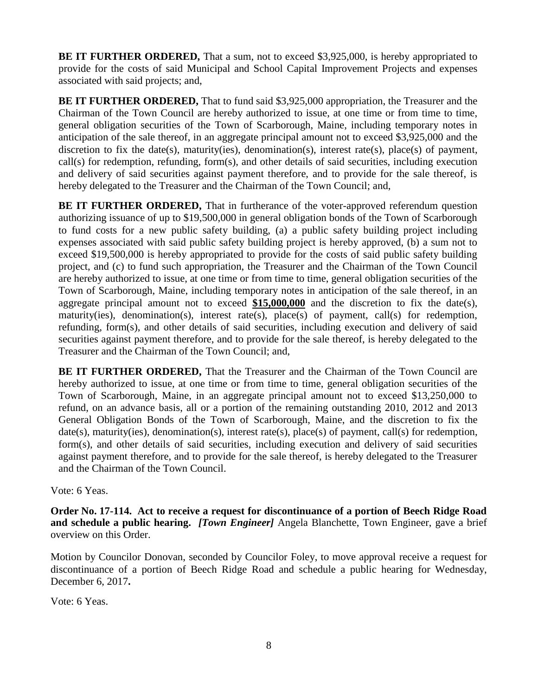**BE IT FURTHER ORDERED,** That a sum, not to exceed \$3,925,000, is hereby appropriated to provide for the costs of said Municipal and School Capital Improvement Projects and expenses associated with said projects; and,

**BE IT FURTHER ORDERED,** That to fund said \$3,925,000 appropriation, the Treasurer and the Chairman of the Town Council are hereby authorized to issue, at one time or from time to time, general obligation securities of the Town of Scarborough, Maine, including temporary notes in anticipation of the sale thereof, in an aggregate principal amount not to exceed \$3,925,000 and the discretion to fix the date(s), maturity(ies), denomination(s), interest rate(s), place(s) of payment, call(s) for redemption, refunding, form(s), and other details of said securities, including execution and delivery of said securities against payment therefore, and to provide for the sale thereof, is hereby delegated to the Treasurer and the Chairman of the Town Council; and,

**BE IT FURTHER ORDERED,** That in furtherance of the voter-approved referendum question authorizing issuance of up to \$19,500,000 in general obligation bonds of the Town of Scarborough to fund costs for a new public safety building, (a) a public safety building project including expenses associated with said public safety building project is hereby approved, (b) a sum not to exceed \$19,500,000 is hereby appropriated to provide for the costs of said public safety building project, and (c) to fund such appropriation, the Treasurer and the Chairman of the Town Council are hereby authorized to issue, at one time or from time to time, general obligation securities of the Town of Scarborough, Maine, including temporary notes in anticipation of the sale thereof, in an aggregate principal amount not to exceed **\$15,000,000** and the discretion to fix the date(s), maturity(ies), denomination(s), interest rate(s), place(s) of payment, call(s) for redemption, refunding, form(s), and other details of said securities, including execution and delivery of said securities against payment therefore, and to provide for the sale thereof, is hereby delegated to the Treasurer and the Chairman of the Town Council; and,

**BE IT FURTHER ORDERED,** That the Treasurer and the Chairman of the Town Council are hereby authorized to issue, at one time or from time to time, general obligation securities of the Town of Scarborough, Maine, in an aggregate principal amount not to exceed \$13,250,000 to refund, on an advance basis, all or a portion of the remaining outstanding 2010, 2012 and 2013 General Obligation Bonds of the Town of Scarborough, Maine, and the discretion to fix the date(s), maturity(ies), denomination(s), interest rate(s), place(s) of payment, call(s) for redemption, form(s), and other details of said securities, including execution and delivery of said securities against payment therefore, and to provide for the sale thereof, is hereby delegated to the Treasurer and the Chairman of the Town Council.

Vote: 6 Yeas.

**Order No. 17-114. Act to receive a request for discontinuance of a portion of Beech Ridge Road and schedule a public hearing.** *[Town Engineer]* Angela Blanchette, Town Engineer, gave a brief overview on this Order.

Motion by Councilor Donovan, seconded by Councilor Foley, to move approval receive a request for discontinuance of a portion of Beech Ridge Road and schedule a public hearing for Wednesday, December 6, 2017**.**

Vote: 6 Yeas.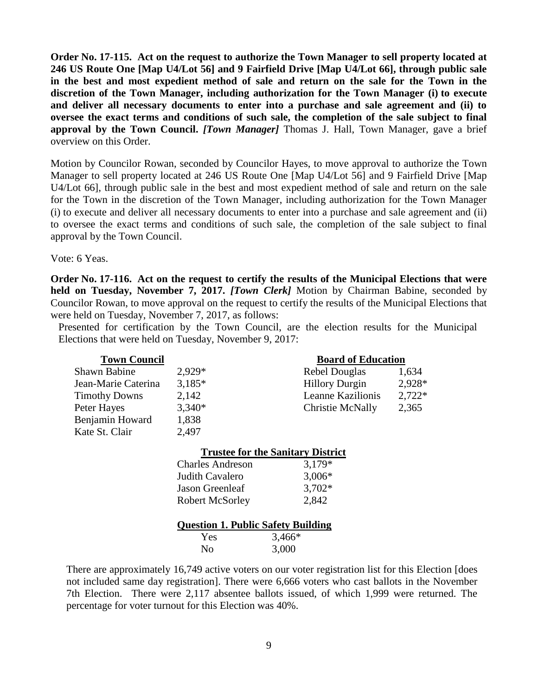**Order No. 17-115. Act on the request to authorize the Town Manager to sell property located at 246 US Route One [Map U4/Lot 56] and 9 Fairfield Drive [Map U4/Lot 66], through public sale in the best and most expedient method of sale and return on the sale for the Town in the discretion of the Town Manager, including authorization for the Town Manager (i) to execute and deliver all necessary documents to enter into a purchase and sale agreement and (ii) to oversee the exact terms and conditions of such sale, the completion of the sale subject to final approval by the Town Council.** *[Town Manager]* Thomas J. Hall, Town Manager, gave a brief overview on this Order.

Motion by Councilor Rowan, seconded by Councilor Hayes, to move approval to authorize the Town Manager to sell property located at 246 US Route One [Map U4/Lot 56] and 9 Fairfield Drive [Map U4/Lot 66], through public sale in the best and most expedient method of sale and return on the sale for the Town in the discretion of the Town Manager, including authorization for the Town Manager (i) to execute and deliver all necessary documents to enter into a purchase and sale agreement and (ii) to oversee the exact terms and conditions of such sale, the completion of the sale subject to final approval by the Town Council.

Vote: 6 Yeas.

**Order No. 17-116. Act on the request to certify the results of the Municipal Elections that were held on Tuesday, November 7, 2017.** *[Town Clerk]* Motion by Chairman Babine, seconded by Councilor Rowan, to move approval on the request to certify the results of the Municipal Elections that were held on Tuesday, November 7, 2017, as follows:

Presented for certification by the Town Council, are the election results for the Municipal Elections that were held on Tuesday, November 9, 2017:

| <b>Town Council</b>                       | <b>Board of Education</b> |                                          |          |
|-------------------------------------------|---------------------------|------------------------------------------|----------|
| <b>Shawn Babine</b>                       | 2,929*                    | Rebel Douglas                            | 1,634    |
| Jean-Marie Caterina                       | $3.185*$                  | <b>Hillory Durgin</b>                    | 2,928*   |
| <b>Timothy Downs</b>                      | 2,142                     | Leanne Kazilionis                        | $2,722*$ |
| Peter Hayes                               | $3,340*$                  | Christie McNally                         | 2,365    |
| Benjamin Howard                           | 1,838                     |                                          |          |
| Kate St. Clair                            | 2,497                     |                                          |          |
|                                           |                           | <b>Trustee for the Sanitary District</b> |          |
|                                           | <b>Charles Andreson</b>   | 3,179*                                   |          |
|                                           | Judith Cavalero           | $3,006*$                                 |          |
|                                           | Jason Greenleaf           | $3,702*$                                 |          |
|                                           | <b>Robert McSorley</b>    | 2,842                                    |          |
|                                           |                           |                                          |          |
| <b>Question 1. Public Safety Building</b> |                           |                                          |          |
|                                           | Yes                       | $3,466*$                                 |          |
|                                           | N <sub>0</sub>            | 3,000                                    |          |
|                                           |                           |                                          |          |

There are approximately 16,749 active voters on our voter registration list for this Election [does not included same day registration]. There were 6,666 voters who cast ballots in the November 7th Election. There were 2,117 absentee ballots issued, of which 1,999 were returned. The percentage for voter turnout for this Election was 40%.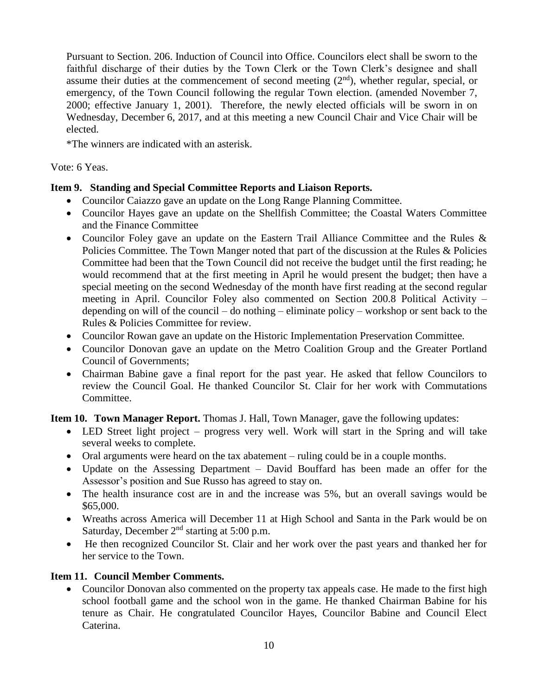Pursuant to Section. 206. Induction of Council into Office. Councilors elect shall be sworn to the faithful discharge of their duties by the Town Clerk or the Town Clerk's designee and shall assume their duties at the commencement of second meeting  $(2<sup>nd</sup>)$ , whether regular, special, or emergency, of the Town Council following the regular Town election. (amended November 7, 2000; effective January 1, 2001). Therefore, the newly elected officials will be sworn in on Wednesday, December 6, 2017, and at this meeting a new Council Chair and Vice Chair will be elected.

\*The winners are indicated with an asterisk.

Vote: 6 Yeas.

## **Item 9. Standing and Special Committee Reports and Liaison Reports.**

- Councilor Caiazzo gave an update on the Long Range Planning Committee.
- Councilor Hayes gave an update on the Shellfish Committee; the Coastal Waters Committee and the Finance Committee
- Councilor Foley gave an update on the Eastern Trail Alliance Committee and the Rules & Policies Committee. The Town Manger noted that part of the discussion at the Rules & Policies Committee had been that the Town Council did not receive the budget until the first reading; he would recommend that at the first meeting in April he would present the budget; then have a special meeting on the second Wednesday of the month have first reading at the second regular meeting in April. Councilor Foley also commented on Section 200.8 Political Activity – depending on will of the council – do nothing – eliminate policy – workshop or sent back to the Rules & Policies Committee for review.
- Councilor Rowan gave an update on the Historic Implementation Preservation Committee.
- Councilor Donovan gave an update on the Metro Coalition Group and the Greater Portland Council of Governments;
- Chairman Babine gave a final report for the past year. He asked that fellow Councilors to review the Council Goal. He thanked Councilor St. Clair for her work with Commutations Committee.

**Item 10. Town Manager Report.** Thomas J. Hall, Town Manager, gave the following updates:

- LED Street light project progress very well. Work will start in the Spring and will take several weeks to complete.
- Oral arguments were heard on the tax abatement ruling could be in a couple months.
- Update on the Assessing Department David Bouffard has been made an offer for the Assessor's position and Sue Russo has agreed to stay on.
- The health insurance cost are in and the increase was 5%, but an overall savings would be \$65,000.
- Wreaths across America will December 11 at High School and Santa in the Park would be on Saturday, December  $2<sup>nd</sup>$  starting at 5:00 p.m.
- He then recognized Councilor St. Clair and her work over the past years and thanked her for her service to the Town.

## **Item 11. Council Member Comments.**

• Councilor Donovan also commented on the property tax appeals case. He made to the first high school football game and the school won in the game. He thanked Chairman Babine for his tenure as Chair. He congratulated Councilor Hayes, Councilor Babine and Council Elect Caterina.